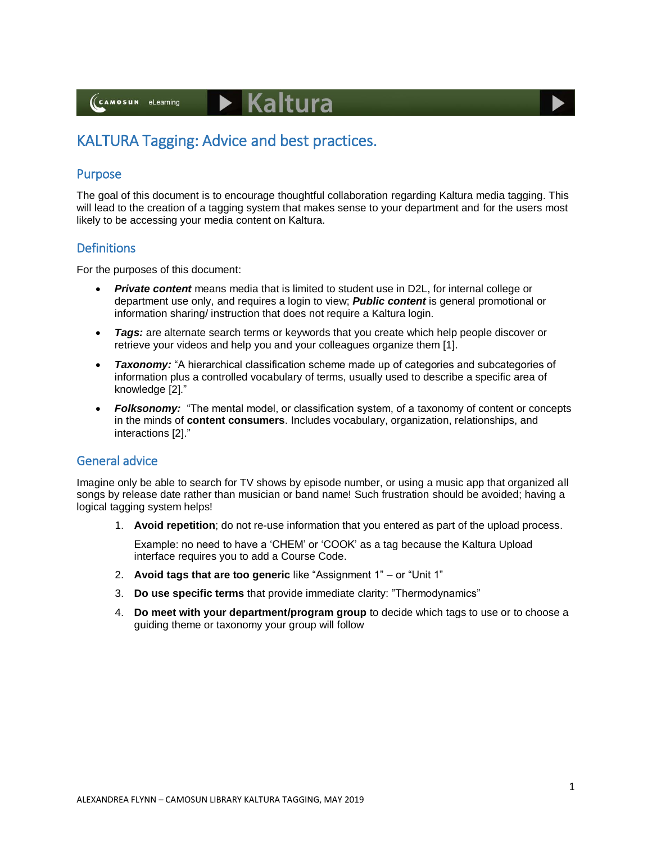(CAMOSUN eLearning

# $\blacktriangleright$  Kaltura

# KALTURA Tagging: Advice and best practices.

#### Purpose

The goal of this document is to encourage thoughtful collaboration regarding Kaltura media tagging. This will lead to the creation of a tagging system that makes sense to your department and for the users most likely to be accessing your media content on Kaltura.

#### **Definitions**

For the purposes of this document:

- *Private content* means media that is limited to student use in D2L, for internal college or department use only, and requires a login to view; *Public content* is general promotional or information sharing/ instruction that does not require a Kaltura login.
- *Tags:* are alternate search terms or keywords that you create which help people discover or retrieve your videos and help you and your colleagues organize them [1].
- **Taxonomy:** "A hierarchical classification scheme made up of categories and subcategories of information plus a controlled vocabulary of terms, usually used to describe a specific area of knowledge [2]."
- *Folksonomy:* "The mental model, or classification system, of a taxonomy of content or concepts in the minds of **content consumers**. Includes vocabulary, organization, relationships, and interactions [2]."

#### General advice

Imagine only be able to search for TV shows by episode number, or using a music app that organized all songs by release date rather than musician or band name! Such frustration should be avoided; having a logical tagging system helps!

1. **Avoid repetition**; do not re-use information that you entered as part of the upload process.

Example: no need to have a 'CHEM' or 'COOK' as a tag because the Kaltura Upload interface requires you to add a Course Code.

- 2. **Avoid tags that are too generic** like "Assignment 1" or "Unit 1"
- 3. **Do use specific terms** that provide immediate clarity: "Thermodynamics"
- 4. **Do meet with your department/program group** to decide which tags to use or to choose a guiding theme or taxonomy your group will follow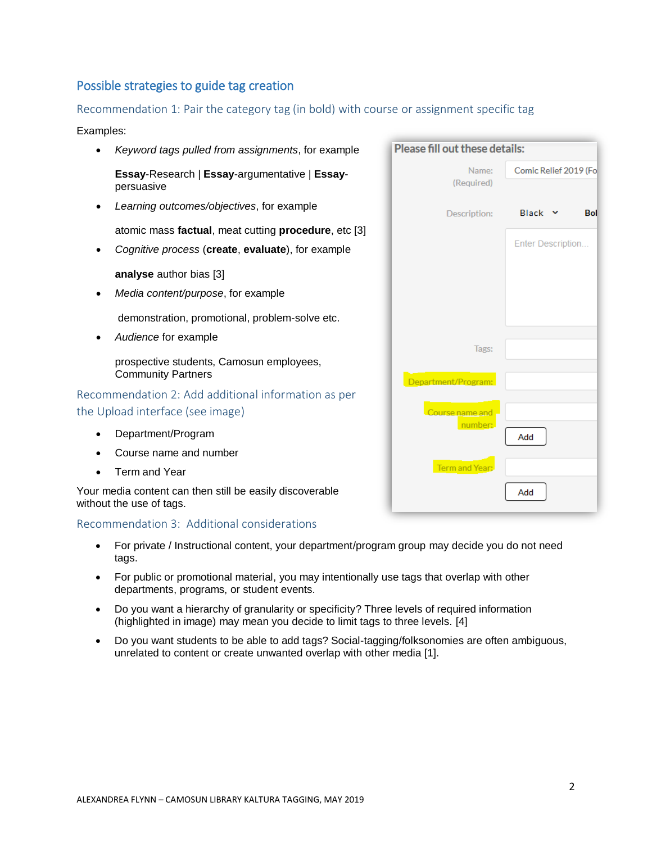## Possible strategies to guide tag creation

#### Recommendation 1: Pair the category tag (in bold) with course or assignment specific tag

#### Examples:

 *Keyword tags pulled from assignments*, for example **Essay**-Research | **Essay**-argumentative | **Essay**persuasive *Learning outcomes/objectives*, for example atomic mass **factual**, meat cutting **procedure**, etc [3] *Cognitive process* (**create**, **evaluate**), for example **analyse** author bias [3] *Media content/purpose*, for example demonstration, promotional, problem-solve etc. *Audience* for example prospective students, Camosun employees, Community Partners Recommendation 2: Add additional information as per the Upload interface (see image) Department/Program Course name and number Term and Year

Your media content can then still be easily discoverable without the use of tags.

#### Recommendation 3: Additional considerations

- For private / Instructional content, your department/program group may decide you do not need tags.
- For public or promotional material, you may intentionally use tags that overlap with other departments, programs, or student events.
- Do you want a hierarchy of granularity or specificity? Three levels of required information (highlighted in image) may mean you decide to limit tags to three levels. [4]
- Do you want students to be able to add tags? Social-tagging/folksonomies are often ambiguous, unrelated to content or create unwanted overlap with other media [1].

| Please fill out these details: |                       |  |  |
|--------------------------------|-----------------------|--|--|
| Name:<br>(Required)            | Comic Relief 2019 (Fo |  |  |
| Description:                   | <b>Black</b><br>Bol   |  |  |
|                                | Enter Description     |  |  |
| Tags:                          |                       |  |  |
| Department/Program:            |                       |  |  |
| Course name and<br>number:     | Add                   |  |  |
| Term and Year:                 | Add                   |  |  |